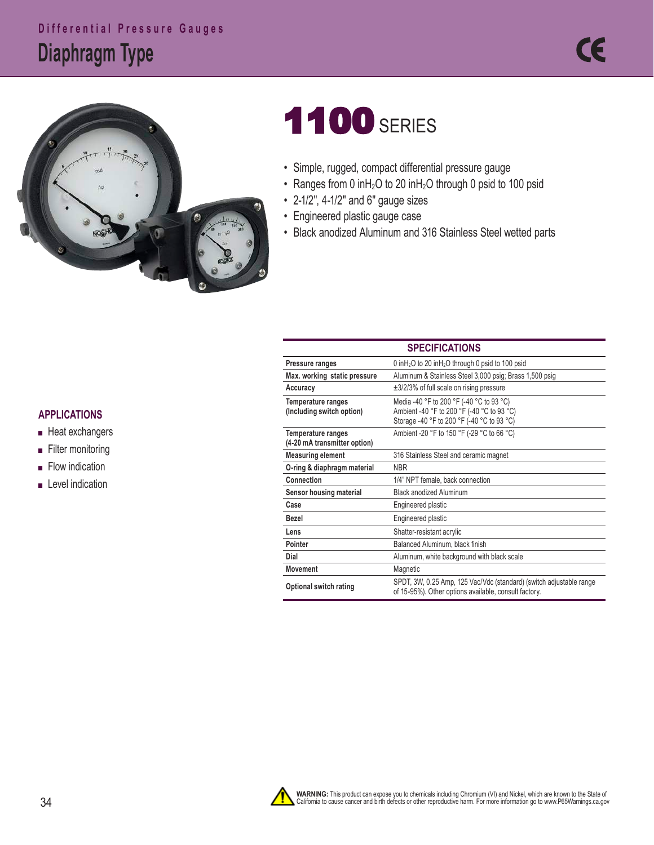# **Diaphragm Type Differential Pressure Gauges**



# **1100 SERIES**

- Simple, rugged, compact differential pressure gauge
- Ranges from 0 inH<sub>2</sub>O to 20 inH<sub>2</sub>O through 0 psid to 100 psid
- 2-1/2", 4-1/2" and 6" gauge sizes
- Engineered plastic gauge case
- Black anodized Aluminum and 316 Stainless Steel wetted parts

| <b>SPELIFILAHUNS</b>                                      |                                                                                                                                      |  |  |  |  |  |
|-----------------------------------------------------------|--------------------------------------------------------------------------------------------------------------------------------------|--|--|--|--|--|
| Pressure ranges                                           | 0 in $H_2$ O to 20 in $H_2$ O through 0 psid to 100 psid                                                                             |  |  |  |  |  |
| Max. working static pressure                              | Aluminum & Stainless Steel 3,000 psig; Brass 1,500 psig                                                                              |  |  |  |  |  |
| Accuracy                                                  | $\pm$ 3/2/3% of full scale on rising pressure                                                                                        |  |  |  |  |  |
| Temperature ranges<br>(Including switch option)           | Media -40 °F to 200 °F (-40 °C to 93 °C)<br>Ambient -40 °F to 200 °F (-40 °C to 93 °C)<br>Storage -40 °F to 200 °F (-40 °C to 93 °C) |  |  |  |  |  |
| <b>Temperature ranges</b><br>(4-20 mA transmitter option) | Ambient -20 °F to 150 °F (-29 °C to 66 °C)                                                                                           |  |  |  |  |  |
| <b>Measuring element</b>                                  | 316 Stainless Steel and ceramic magnet                                                                                               |  |  |  |  |  |
| O-ring & diaphragm material                               | NBR.                                                                                                                                 |  |  |  |  |  |
| Connection                                                | 1/4" NPT female, back connection                                                                                                     |  |  |  |  |  |
| Sensor housing material                                   | <b>Black anodized Aluminum</b>                                                                                                       |  |  |  |  |  |
| Case                                                      | Engineered plastic                                                                                                                   |  |  |  |  |  |
| Bezel                                                     | Engineered plastic                                                                                                                   |  |  |  |  |  |
| Lens                                                      | Shatter-resistant acrylic                                                                                                            |  |  |  |  |  |
| Pointer                                                   | Balanced Aluminum, black finish                                                                                                      |  |  |  |  |  |
| Dial                                                      | Aluminum, white background with black scale                                                                                          |  |  |  |  |  |
| <b>Movement</b>                                           | Magnetic                                                                                                                             |  |  |  |  |  |
| <b>Optional switch rating</b>                             | SPDT, 3W, 0.25 Amp, 125 Vac/Vdc (standard) (switch adjustable range<br>of 15-95%). Other options available, consult factory.         |  |  |  |  |  |

**SPECIFICATIONS** 

#### **APPLICATIONS**

- Heat exchangers
- Filter monitoring
- Flow indication
- Level indication

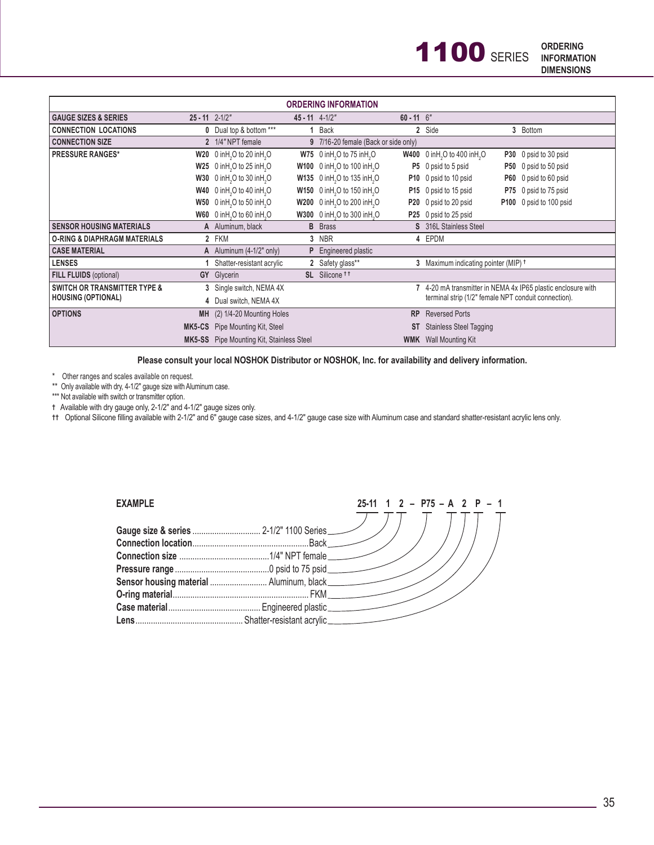| <b>ORDERING INFORMATION</b>                                          |                       |                                                                                |                       |                                                              |              |                                                              |            |                         |  |
|----------------------------------------------------------------------|-----------------------|--------------------------------------------------------------------------------|-----------------------|--------------------------------------------------------------|--------------|--------------------------------------------------------------|------------|-------------------------|--|
| <b>GAUGE SIZES &amp; SERIES</b>                                      | $25 - 11$ $2 - 1/2$ " |                                                                                | $45 - 11$ $4 - 1/2$ " |                                                              | $60 - 11$ 6" |                                                              |            |                         |  |
| <b>CONNECTION LOCATIONS</b>                                          |                       | 0 Dual top & bottom ***                                                        |                       | Back                                                         |              | 2 Side                                                       | 3          | <b>Bottom</b>           |  |
| <b>CONNECTION SIZE</b>                                               |                       | 2 1/4" NPT female                                                              |                       | 9 7/16-20 female (Back or side only)                         |              |                                                              |            |                         |  |
| <b>PRESSURE RANGES*</b>                                              |                       | $W20$ 0 in H <sub>2</sub> O to 20 in H <sub>2</sub> O                          |                       | $W75$ 0 in H <sub>2</sub> O to 75 in H <sub>3</sub> O        | <b>W400</b>  | 0 in H <sub>2</sub> O to 400 in H <sub>2</sub> O             |            | P30 0 psid to 30 psid   |  |
|                                                                      |                       | $W25$ 0 in H <sub>2</sub> O to 25 in H <sub>2</sub> O                          |                       | <b>W100</b> 0 in H <sub>2</sub> O to 100 in H <sub>2</sub> O |              | P5 0 psid to 5 psid                                          |            | P50 0 psid to 50 psid   |  |
|                                                                      | W30                   | 0 in $H$ <sub>2</sub> O to 30 in $H$ <sub>2</sub> O                            |                       | W135 0 in H <sub>2</sub> O to 135 in H <sub>2</sub> O        |              | P10 0 psid to 10 psid                                        | <b>P60</b> | 0 psid to 60 psid       |  |
|                                                                      |                       | <b>W40</b> $0$ in H <sub>2</sub> O to 40 in H <sub>2</sub> O                   |                       | W150 0 inH <sub>2</sub> O to 150 inH <sub>2</sub> O          |              | P15 0 psid to 15 psid                                        | P75        | 0 psid to 75 psid       |  |
|                                                                      | W50                   | $0$ in H <sub>2</sub> O to 50 in H <sub>2</sub> O                              |                       | W200 0 in H <sub>2</sub> O to 200 in H <sub>2</sub> O        |              | P20 0 psid to 20 psid                                        |            | P100 0 psid to 100 psid |  |
|                                                                      |                       | W60 0 inH <sub>2</sub> O to 60 inH <sub>2</sub> O                              |                       | W300 0 in H <sub>2</sub> O to 300 in H <sub>2</sub> O        |              | P25 0 psid to 25 psid                                        |            |                         |  |
| <b>SENSOR HOUSING MATERIALS</b>                                      |                       | A Aluminum, black                                                              |                       | <b>B</b> Brass                                               |              | S 316L Stainless Steel                                       |            |                         |  |
| <b>O-RING &amp; DIAPHRAGM MATERIALS</b>                              |                       | 2 FKM                                                                          |                       | 3 NBR                                                        |              | 4 EPDM                                                       |            |                         |  |
| <b>CASE MATERIAL</b>                                                 |                       | A Aluminum $(4-1/2"$ only)                                                     | P                     | Engineered plastic                                           |              |                                                              |            |                         |  |
| <b>LENSES</b>                                                        |                       | Shatter-resistant acrylic                                                      |                       | 2 Safety glass**                                             |              | 3 Maximum indicating pointer (MIP) <sup>+</sup>              |            |                         |  |
| FILL FLUIDS (optional)                                               |                       | <b>GY</b> Glycerin                                                             |                       | SL Silicone <sup>tt</sup>                                    |              |                                                              |            |                         |  |
| <b>SWITCH OR TRANSMITTER TYPE &amp;</b><br><b>HOUSING (OPTIONAL)</b> |                       | 3 Single switch, NEMA 4X                                                       |                       |                                                              |              | 7 4-20 mA transmitter in NEMA 4x IP65 plastic enclosure with |            |                         |  |
|                                                                      |                       | terminal strip (1/2" female NPT conduit connection).<br>4 Dual switch, NEMA 4X |                       |                                                              |              |                                                              |            |                         |  |
| <b>OPTIONS</b>                                                       | <b>MH</b>             | (2) 1/4-20 Mounting Holes                                                      |                       |                                                              | <b>RP</b>    | <b>Reversed Ports</b>                                        |            |                         |  |
|                                                                      |                       | <b>MK5-CS</b> Pipe Mounting Kit, Steel                                         |                       |                                                              | ST           | <b>Stainless Steel Tagging</b>                               |            |                         |  |
|                                                                      |                       | <b>MK5-SS</b> Pipe Mounting Kit, Stainless Steel                               |                       |                                                              |              | <b>WMK</b> Wall Mounting Kit                                 |            |                         |  |

**Please consult your local NOSHOK Distributor or NOSHOK, Inc. for availability and delivery information.**

\* Other ranges and scales available on request.

\*\* Only available with dry, 4-1/2" gauge size with Aluminum case.

\*\*\* Not available with switch or transmitter option.

**†** Available with dry gauge only, 2-1/2" and 4-1/2" gauge sizes only.

**††** Optional Silicone filling available with 2-1/2" and 6" gauge case sizes, and 4-1/2" gauge case size with Aluminum case and standard shatter-resistant acrylic lens only.

| <b>EXAMPLE</b> | $25-11$ 1 2 - P75 - A 2 P - 1 |  |
|----------------|-------------------------------|--|
|                |                               |  |
|                |                               |  |
|                |                               |  |
|                |                               |  |
|                |                               |  |
|                |                               |  |
|                |                               |  |
|                |                               |  |
|                |                               |  |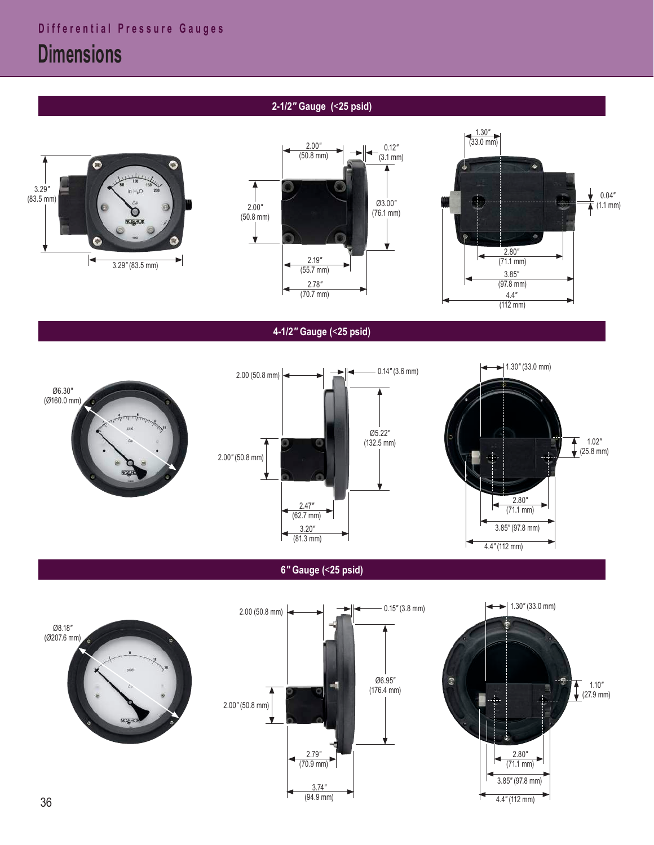Ø8.18*"*  (Ø207.6 mm)



**6***"* **Gauge (**<**25 psid)**



NOSHO





## **4-1/2***"* **Gauge (**<**25 psid)**







## **2-1/2***"* **Gauge (**<**25 psid)**